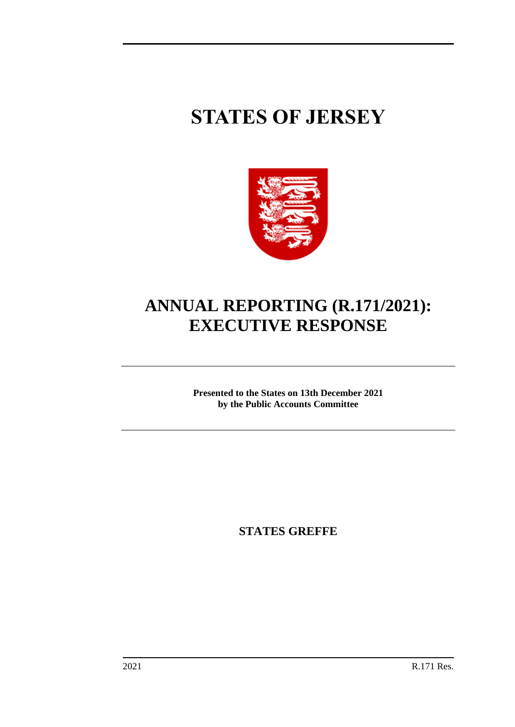# **STATES OF JERSEY**



# **ANNUAL REPORTING (R.171/2021): EXECUTIVE RESPONSE**

**Presented to the States on 13th December 2021 by the Public Accounts Committee**

**STATES GREFFE**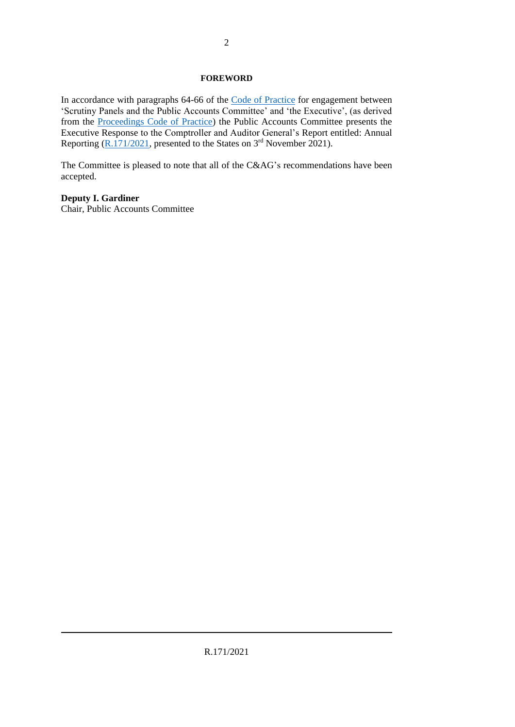#### **FOREWORD**

In accordance with paragraphs 64-66 of the [Code of Practice](https://statesassembly.gov.je/sitecollectiondocuments/pacengagementcode.pdf) for engagement between 'Scrutiny Panels and the Public Accounts Committee' and 'the Executive', (as derived from the [Proceedings Code of Practice\)](https://statesassembly.gov.je/committees/publishingimages/pages/scrutinypanelscommittees/scrutiny%20-pac%20proceedings%20code%20of%20practice%20final.pdf) the Public Accounts Committee presents the Executive Response to the Comptroller and Auditor General's Report entitled: Annual Reporting [\(R.171/2021,](https://statesassembly.gov.je/assemblyreports/2021/r.171-2021.pdf) presented to the States on 3<sup>rd</sup> November 2021).

The Committee is pleased to note that all of the C&AG's recommendations have been accepted.

## **Deputy I. Gardiner**

Chair, Public Accounts Committee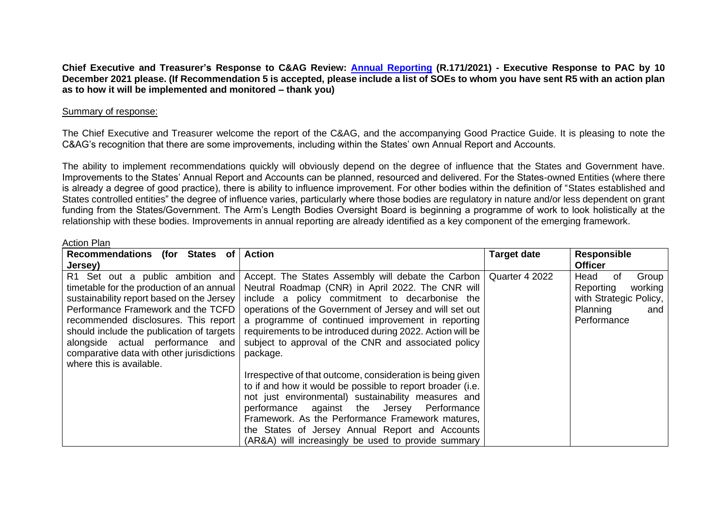**Chief Executive and Treasurer's Response to C&AG Review: [Annual Reporting](https://statesassembly.gov.je/assemblyreports/2021/r.171-2021.pdf) (R.171/2021) - Executive Response to PAC by 10 December 2021 please. (If Recommendation 5 is accepted, please include a list of SOEs to whom you have sent R5 with an action plan as to how it will be implemented and monitored – thank you)**

#### Summary of response:

The Chief Executive and Treasurer welcome the report of the C&AG, and the accompanying Good Practice Guide. It is pleasing to note the C&AG's recognition that there are some improvements, including within the States' own Annual Report and Accounts.

The ability to implement recommendations quickly will obviously depend on the degree of influence that the States and Government have. Improvements to the States' Annual Report and Accounts can be planned, resourced and delivered. For the States-owned Entities (where there is already a degree of good practice), there is ability to influence improvement. For other bodies within the definition of "States established and States controlled entities" the degree of influence varies, particularly where those bodies are regulatory in nature and/or less dependent on grant funding from the States/Government. The Arm's Length Bodies Oversight Board is beginning a programme of work to look holistically at the relationship with these bodies. Improvements in annual reporting are already identified as a key component of the emerging framework.

#### Action Plan

| Recommendations (for States of            | <b>Action</b>                                                       | <b>Target date</b> | <b>Responsible</b>     |
|-------------------------------------------|---------------------------------------------------------------------|--------------------|------------------------|
| Jersey)                                   |                                                                     |                    | <b>Officer</b>         |
| R1 Set out a public ambition and          | Accept. The States Assembly will debate the Carbon   Quarter 4 2022 |                    | Group<br>Head<br>0f    |
| timetable for the production of an annual | Neutral Roadmap (CNR) in April 2022. The CNR will                   |                    | Reporting<br>working   |
| sustainability report based on the Jersey | include a policy commitment to decarbonise the                      |                    | with Strategic Policy, |
| Performance Framework and the TCFD        | operations of the Government of Jersey and will set out             |                    | Planning<br>and        |
| recommended disclosures. This report      | a programme of continued improvement in reporting                   |                    | Performance            |
| should include the publication of targets | requirements to be introduced during 2022. Action will be           |                    |                        |
| alongside actual performance and          | subject to approval of the CNR and associated policy                |                    |                        |
| comparative data with other jurisdictions | package.                                                            |                    |                        |
| where this is available.                  |                                                                     |                    |                        |
|                                           | Irrespective of that outcome, consideration is being given          |                    |                        |
|                                           | to if and how it would be possible to report broader (i.e.          |                    |                        |
|                                           | not just environmental) sustainability measures and                 |                    |                        |
|                                           | performance against the Jersey Performance                          |                    |                        |
|                                           | Framework. As the Performance Framework matures,                    |                    |                        |
|                                           | the States of Jersey Annual Report and Accounts                     |                    |                        |
|                                           | (AR&A) will increasingly be used to provide summary                 |                    |                        |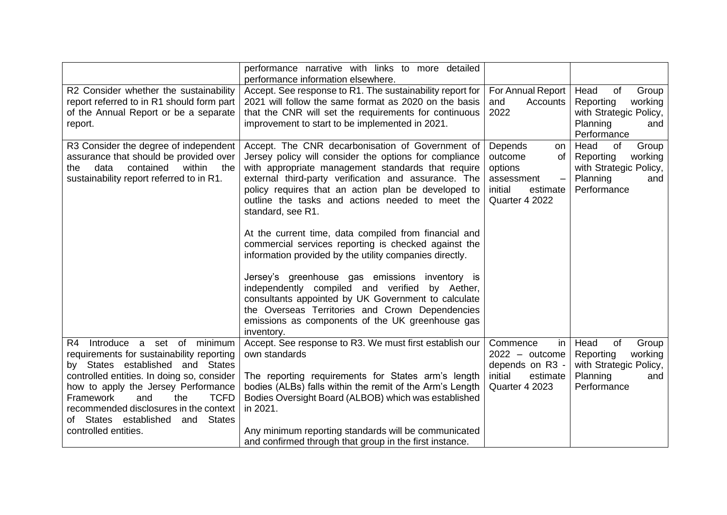|                                                                                                                                                                                                                                                                                                                                                                     | performance narrative with links to more detailed<br>performance information elsewhere.                                                                                                                                                                                                                                                                                                                                                                                                                                                                                                                                                                                                                                                                                                                              |                                                                                                         |                                                                                                         |
|---------------------------------------------------------------------------------------------------------------------------------------------------------------------------------------------------------------------------------------------------------------------------------------------------------------------------------------------------------------------|----------------------------------------------------------------------------------------------------------------------------------------------------------------------------------------------------------------------------------------------------------------------------------------------------------------------------------------------------------------------------------------------------------------------------------------------------------------------------------------------------------------------------------------------------------------------------------------------------------------------------------------------------------------------------------------------------------------------------------------------------------------------------------------------------------------------|---------------------------------------------------------------------------------------------------------|---------------------------------------------------------------------------------------------------------|
| R2 Consider whether the sustainability<br>report referred to in R1 should form part<br>of the Annual Report or be a separate<br>report.                                                                                                                                                                                                                             | Accept. See response to R1. The sustainability report for<br>2021 will follow the same format as 2020 on the basis<br>that the CNR will set the requirements for continuous<br>improvement to start to be implemented in 2021.                                                                                                                                                                                                                                                                                                                                                                                                                                                                                                                                                                                       | Head<br>0f<br>Group<br>working<br>Reporting<br>with Strategic Policy,<br>Planning<br>and<br>Performance |                                                                                                         |
| R3 Consider the degree of independent<br>assurance that should be provided over<br>data<br>contained<br>within<br>the<br>the<br>sustainability report referred to in R1.                                                                                                                                                                                            | Accept. The CNR decarbonisation of Government of<br>Jersey policy will consider the options for compliance<br>with appropriate management standards that require<br>external third-party verification and assurance. The<br>policy requires that an action plan be developed to<br>outline the tasks and actions needed to meet the<br>standard, see R1.<br>At the current time, data compiled from financial and<br>commercial services reporting is checked against the<br>information provided by the utility companies directly.<br>Jersey's greenhouse gas emissions inventory is<br>independently compiled and verified by Aether,<br>consultants appointed by UK Government to calculate<br>the Overseas Territories and Crown Dependencies<br>emissions as components of the UK greenhouse gas<br>inventory. | Depends<br>on<br>outcome<br>0f<br>options<br>assessment<br>initial<br>estimate<br>Quarter 4 2022        | Head<br>0f<br>Group<br>Reporting<br>working<br>with Strategic Policy,<br>Planning<br>and<br>Performance |
| Introduce a set of minimum<br>R4<br>requirements for sustainability reporting<br>by States established and States<br>controlled entities. In doing so, consider<br>how to apply the Jersey Performance<br><b>TCFD</b><br>Framework<br>and<br>the<br>recommended disclosures in the context<br>of States established<br><b>States</b><br>and<br>controlled entities. | Accept. See response to R3. We must first establish our<br>own standards<br>The reporting requirements for States arm's length<br>bodies (ALBs) falls within the remit of the Arm's Length<br>Bodies Oversight Board (ALBOB) which was established<br>in 2021.<br>Any minimum reporting standards will be communicated<br>and confirmed through that group in the first instance.                                                                                                                                                                                                                                                                                                                                                                                                                                    | Commence<br>in<br>$2022 - outcome$<br>depends on R3 -<br>initial<br>estimate<br>Quarter 4 2023          | Head<br>of<br>Group<br>working<br>Reporting<br>with Strategic Policy,<br>Planning<br>and<br>Performance |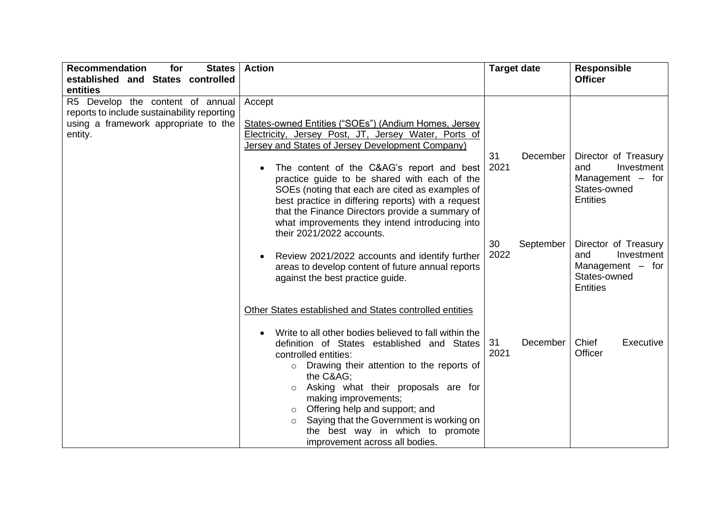| <b>Recommendation</b><br>for<br><b>States</b><br>established and States controlled                                                 | <b>Action</b>                                                                                                                                                                                                                                                                                                                                                                                                                                                                                            | <b>Target date</b>      | <b>Responsible</b><br><b>Officer</b>                                                               |
|------------------------------------------------------------------------------------------------------------------------------------|----------------------------------------------------------------------------------------------------------------------------------------------------------------------------------------------------------------------------------------------------------------------------------------------------------------------------------------------------------------------------------------------------------------------------------------------------------------------------------------------------------|-------------------------|----------------------------------------------------------------------------------------------------|
| entities                                                                                                                           |                                                                                                                                                                                                                                                                                                                                                                                                                                                                                                          |                         |                                                                                                    |
| R5 Develop the content of annual<br>reports to include sustainability reporting<br>using a framework appropriate to the<br>entity. | Accept<br>States-owned Entities ("SOEs") (Andium Homes, Jersey<br>Electricity, Jersey Post, JT, Jersey Water, Ports of<br>Jersey and States of Jersey Development Company)<br>The content of the C&AG's report and best<br>$\bullet$<br>practice guide to be shared with each of the<br>SOEs (noting that each are cited as examples of<br>best practice in differing reports) with a request<br>that the Finance Directors provide a summary of<br>what improvements they intend introducing into       | 31<br>December<br>2021  | Director of Treasury<br>Investment<br>and<br>Management $-$ for<br>States-owned<br><b>Entities</b> |
|                                                                                                                                    | their 2021/2022 accounts.<br>Review 2021/2022 accounts and identify further<br>$\bullet$<br>areas to develop content of future annual reports<br>against the best practice guide.                                                                                                                                                                                                                                                                                                                        | 30<br>September<br>2022 | Director of Treasury<br>Investment<br>and<br>Management $-$ for<br>States-owned<br><b>Entities</b> |
|                                                                                                                                    | Other States established and States controlled entities<br>Write to all other bodies believed to fall within the<br>$\bullet$<br>definition of States established and States<br>controlled entities:<br>o Drawing their attention to the reports of<br>the C&AG<br>Asking what their proposals are for<br>$\circ$<br>making improvements;<br>Offering help and support; and<br>$\circ$<br>Saying that the Government is working on<br>the best way in which to promote<br>improvement across all bodies. | 31<br>December<br>2021  | Chief<br>Executive<br>Officer                                                                      |